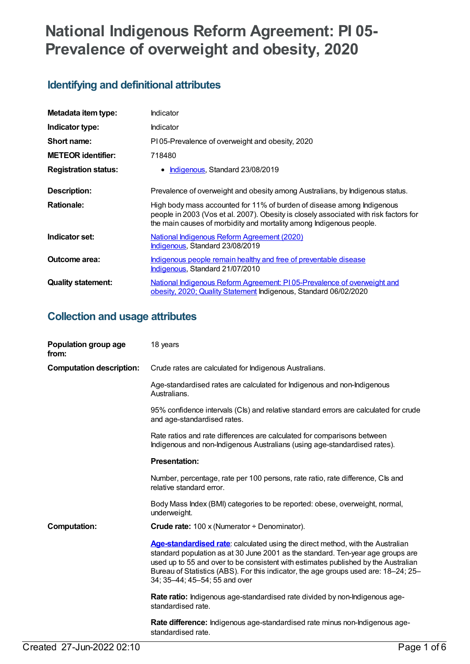# **National Indigenous Reform Agreement: PI 05- Prevalence of overweight and obesity, 2020**

# **Identifying and definitional attributes**

| Metadata item type:         | Indicator                                                                                                                                                                                                                              |
|-----------------------------|----------------------------------------------------------------------------------------------------------------------------------------------------------------------------------------------------------------------------------------|
| Indicator type:             | <b>Indicator</b>                                                                                                                                                                                                                       |
| Short name:                 | P105-Prevalence of overweight and obesity, 2020                                                                                                                                                                                        |
| <b>METEOR identifier:</b>   | 718480                                                                                                                                                                                                                                 |
| <b>Registration status:</b> | Indigenous, Standard 23/08/2019                                                                                                                                                                                                        |
| Description:                | Prevalence of overweight and obesity among Australians, by Indigenous status.                                                                                                                                                          |
| <b>Rationale:</b>           | High body mass accounted for 11% of burden of disease among Indigenous<br>people in 2003 (Vos et al. 2007). Obesity is closely associated with risk factors for<br>the main causes of morbidity and mortality among Indigenous people. |
| Indicator set:              | National Indigenous Reform Agreement (2020)<br>Indigenous, Standard 23/08/2019                                                                                                                                                         |
| Outcome area:               | Indigenous people remain healthy and free of preventable disease<br>Indigenous, Standard 21/07/2010                                                                                                                                    |
| <b>Quality statement:</b>   | National Indigenous Reform Agreement: PI05-Prevalence of overweight and<br>obesity, 2020; Quality Statement Indigenous, Standard 06/02/2020                                                                                            |

# **Collection and usage attributes**

| Population group age<br>from:   | 18 years                                                                                                                                                                                                                                                                                                                                                                        |
|---------------------------------|---------------------------------------------------------------------------------------------------------------------------------------------------------------------------------------------------------------------------------------------------------------------------------------------------------------------------------------------------------------------------------|
| <b>Computation description:</b> | Crude rates are calculated for Indigenous Australians.                                                                                                                                                                                                                                                                                                                          |
|                                 | Age-standardised rates are calculated for Indigenous and non-Indigenous<br>Australians.                                                                                                                                                                                                                                                                                         |
|                                 | 95% confidence intervals (Cls) and relative standard errors are calculated for crude<br>and age-standardised rates.                                                                                                                                                                                                                                                             |
|                                 | Rate ratios and rate differences are calculated for comparisons between<br>Indigenous and non-Indigenous Australians (using age-standardised rates).                                                                                                                                                                                                                            |
|                                 | <b>Presentation:</b>                                                                                                                                                                                                                                                                                                                                                            |
|                                 | Number, percentage, rate per 100 persons, rate ratio, rate difference, CIs and<br>relative standard error.                                                                                                                                                                                                                                                                      |
|                                 | Body Mass Index (BMI) categories to be reported: obese, overweight, normal,<br>underweight.                                                                                                                                                                                                                                                                                     |
| <b>Computation:</b>             | <b>Crude rate:</b> 100 x (Numerator $\div$ Denominator).                                                                                                                                                                                                                                                                                                                        |
|                                 | Age-standardised rate: calculated using the direct method, with the Australian<br>standard population as at 30 June 2001 as the standard. Ten-year age groups are<br>used up to 55 and over to be consistent with estimates published by the Australian<br>Bureau of Statistics (ABS). For this indicator, the age groups used are: 18–24; 25–<br>34; 35-44; 45-54; 55 and over |
|                                 | Rate ratio: Indigenous age-standardised rate divided by non-Indigenous age-<br>standardised rate.                                                                                                                                                                                                                                                                               |
|                                 | Rate difference: Indigenous age-standardised rate minus non-Indigenous age-<br>standardised rate.                                                                                                                                                                                                                                                                               |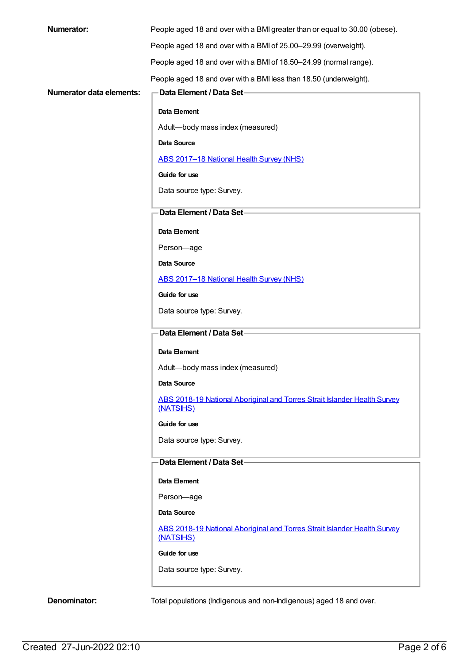| <b>Numerator:</b>        | People aged 18 and over with a BMI greater than or equal to 30.00 (obese).            |
|--------------------------|---------------------------------------------------------------------------------------|
|                          | People aged 18 and over with a BMI of 25.00-29.99 (overweight).                       |
|                          | People aged 18 and over with a BMI of 18.50-24.99 (normal range).                     |
|                          | People aged 18 and over with a BMI less than 18.50 (underweight).                     |
| Numerator data elements: | Data Element / Data Set-                                                              |
|                          | Data Element                                                                          |
|                          | Adult-body mass index (measured)                                                      |
|                          | Data Source                                                                           |
|                          | ABS 2017-18 National Health Survey (NHS)                                              |
|                          | Guide for use                                                                         |
|                          | Data source type: Survey.                                                             |
|                          | Data Element / Data Set-                                                              |
|                          | Data Element                                                                          |
|                          | Person-age                                                                            |
|                          | Data Source                                                                           |
|                          | ABS 2017-18 National Health Survey (NHS)                                              |
|                          | Guide for use                                                                         |
|                          | Data source type: Survey.                                                             |
|                          | Data Element / Data Set-                                                              |
|                          | Data Element                                                                          |
|                          | Adult-body mass index (measured)                                                      |
|                          | Data Source                                                                           |
|                          | ABS 2018-19 National Aboriginal and Torres Strait Islander Health Survey              |
|                          | (NATSIHS)                                                                             |
|                          | Guide for use                                                                         |
|                          | Data source type: Survey.                                                             |
|                          | Data Element / Data Set-                                                              |
|                          | Data Element                                                                          |
|                          | Person-age                                                                            |
|                          | Data Source                                                                           |
|                          | ABS 2018-19 National Aboriginal and Torres Strait Islander Health Survey<br>(NATSIHS) |
|                          | Guide for use                                                                         |
|                          | Data source type: Survey.                                                             |
| Denominator:             | Total populations (Indigenous and non-Indigenous) aged 18 and over.                   |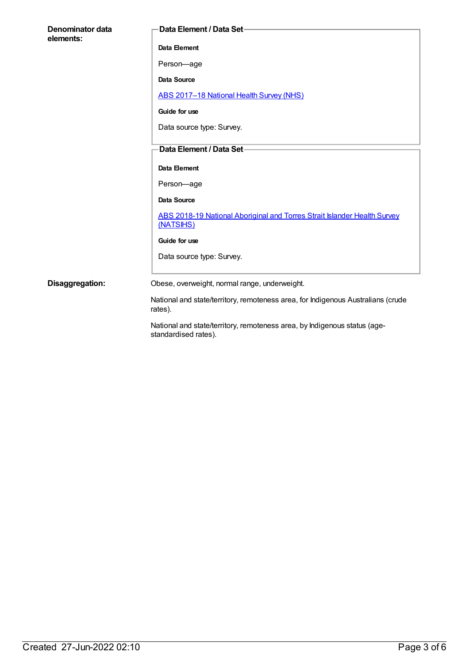| Denominator data<br>elements: | Data Element / Data Set-                                                                          |
|-------------------------------|---------------------------------------------------------------------------------------------------|
|                               | Data Element                                                                                      |
|                               | Person-age                                                                                        |
|                               | <b>Data Source</b>                                                                                |
|                               | ABS 2017-18 National Health Survey (NHS)                                                          |
|                               | Guide for use                                                                                     |
|                               | Data source type: Survey.                                                                         |
|                               | Data Element / Data Set-                                                                          |
|                               | Data Element                                                                                      |
|                               |                                                                                                   |
|                               | Person-age                                                                                        |
|                               | <b>Data Source</b>                                                                                |
|                               | <b>ABS 2018-19 National Aboriginal and Torres Strait Islander Health Survey</b><br>(NATSIHS)      |
|                               | Guide for use                                                                                     |
|                               | Data source type: Survey.                                                                         |
|                               |                                                                                                   |
| Disaggregation:               | Obese, overweight, normal range, underweight.                                                     |
|                               | National and state/territory, remoteness area, for Indigenous Australians (crude<br>rates).       |
|                               | National and state/territory, remoteness area, by Indigenous status (age-<br>standardised rates). |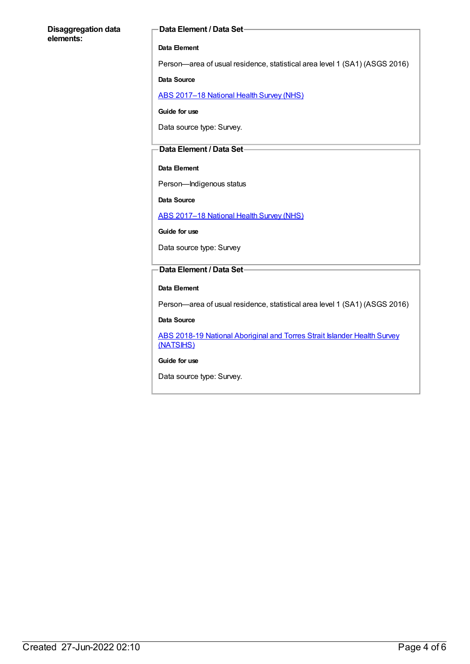#### **Disaggregation data elements:**

#### **Data Element / Data Set**

#### **Data Element**

Person—area of usual residence, statistical area level 1 (SA1) (ASGS 2016)

#### **Data Source**

ABS [2017–18](https://meteor.aihw.gov.au/content/716316) National Health Survey (NHS)

**Guide for use**

Data source type: Survey.

#### **Data Element / Data Set**

#### **Data Element**

Person—Indigenous status

**Data Source**

ABS [2017–18](https://meteor.aihw.gov.au/content/716316) National Health Survey (NHS)

**Guide for use**

Data source type: Survey

#### **Data Element / Data Set**

#### **Data Element**

Person—area of usual residence, statistical area level 1 (SA1) (ASGS 2016)

#### **Data Source**

ABS 2018-19 National [Aboriginal](https://meteor.aihw.gov.au/content/719848) and Torres Strait Islander Health Survey (NATSIHS)

#### **Guide for use**

Data source type: Survey.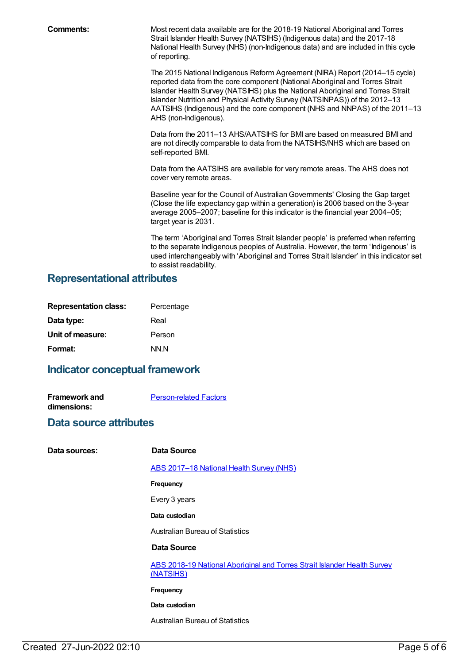**Comments:** Most recent data available are for the 2018-19 National Aboriginal and Torres Strait Islander Health Survey (NATSIHS) (Indigenous data) and the 2017-18 National Health Survey (NHS) (non-Indigenous data) and are included in this cycle of reporting.

> The 2015 National Indigenous Reform Agreement (NIRA) Report (2014–15 cycle) reported data from the core component (National Aboriginal and Torres Strait Islander Health Survey (NATSIHS) plus the National Aboriginal and Torres Strait Islander Nutrition and Physical Activity Survey (NATSINPAS)) of the 2012–13 AATSIHS (Indigenous) and the core component (NHS and NNPAS) of the 2011–13 AHS (non-Indigenous).

Data from the 2011–13 AHS/AATSIHS for BMI are based on measured BMI and are not directly comparable to data from the NATSIHS/NHS which are based on self-reported BMI.

Data from the AATSIHS are available for very remote areas. The AHS does not cover very remote areas.

Baseline year for the Council of AustralianGovernments' Closing the Gap target (Close the life expectancy gap within a generation) is 2006 based on the 3-year average 2005–2007; baseline for this indicator is the financial year 2004–05; target year is 2031.

The term 'Aboriginal and Torres Strait Islander people' is preferred when referring to the separate Indigenous peoples of Australia. However, the term 'Indigenous' is used interchangeably with 'Aboriginal and Torres Strait Islander' in this indicator set to assist readability.

### **Representational attributes**

| <b>Representation class:</b> | Percentage |
|------------------------------|------------|
| Data type:                   | Real       |
| Unit of measure:             | Person     |
| Format:                      | NN.N       |

## **Indicator conceptual framework**

| <b>Framework and</b> | <b>Person-related Factors</b> |
|----------------------|-------------------------------|
| dimensions:          |                               |

### **Data source attributes**

| Data sources: | Data Source                                                                           |
|---------------|---------------------------------------------------------------------------------------|
|               | ABS 2017-18 National Health Survey (NHS)                                              |
|               | <b>Frequency</b>                                                                      |
|               | Every 3 years                                                                         |
|               | Data custodian                                                                        |
|               | <b>Australian Bureau of Statistics</b>                                                |
|               | Data Source                                                                           |
|               | ABS 2018-19 National Aboriginal and Torres Strait Islander Health Survey<br>(NATSIHS) |
|               | <b>Frequency</b>                                                                      |
|               | Data custodian                                                                        |
|               | <b>Australian Bureau of Statistics</b>                                                |